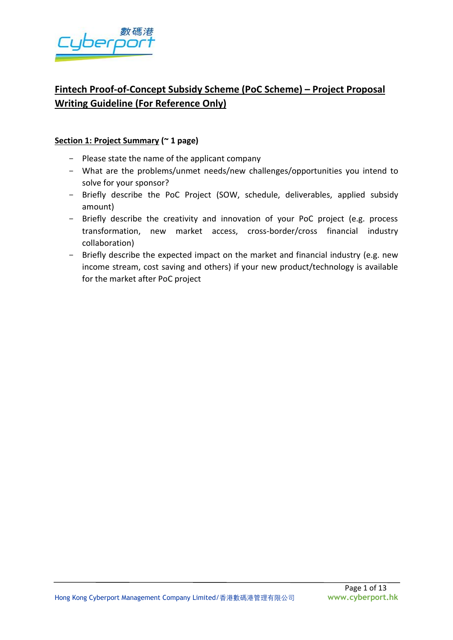

# **Fintech Proof-of-Concept Subsidy Scheme (PoC Scheme) – Project Proposal Writing Guideline (For Reference Only)**

# **Section 1: Project Summary (~ 1 page)**

- Please state the name of the applicant company
- What are the problems/unmet needs/new challenges/opportunities you intend to solve for your sponsor?
- Briefly describe the PoC Project (SOW, schedule, deliverables, applied subsidy amount)
- Briefly describe the creativity and innovation of your PoC project (e.g. process transformation, new market access, cross-border/cross financial industry collaboration)
- Briefly describe the expected impact on the market and financial industry (e.g. new income stream, cost saving and others) if your new product/technology is available for the market after PoC project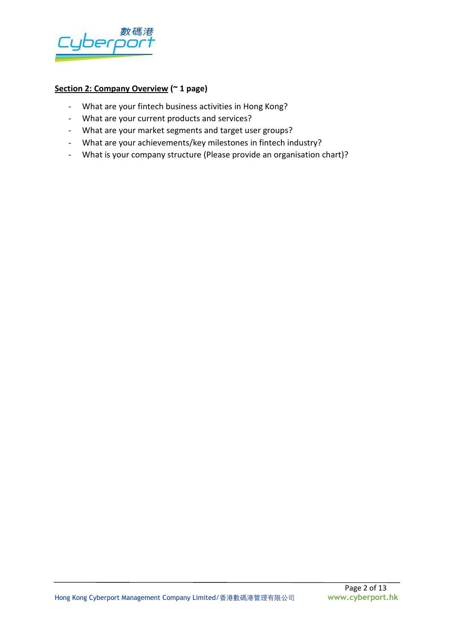

# **Section 2: Company Overview (~ 1 page)**

- What are your fintech business activities in Hong Kong?
- What are your current products and services?
- What are your market segments and target user groups?
- What are your achievements/key milestones in fintech industry?
- What is your company structure (Please provide an organisation chart)?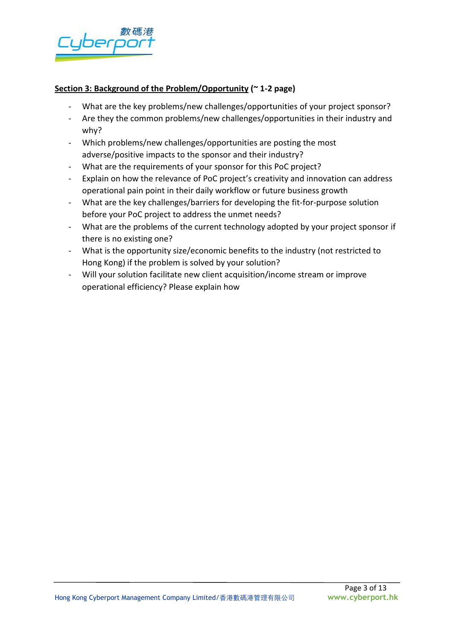

# **Section 3: Background of the Problem/Opportunity (~ 1-2 page)**

- What are the key problems/new challenges/opportunities of your project sponsor?
- Are they the common problems/new challenges/opportunities in their industry and why?
- Which problems/new challenges/opportunities are posting the most adverse/positive impacts to the sponsor and their industry?
- What are the requirements of your sponsor for this PoC project?
- Explain on how the relevance of PoC project's creativity and innovation can address operational pain point in their daily workflow or future business growth
- What are the key challenges/barriers for developing the fit-for-purpose solution before your PoC project to address the unmet needs?
- What are the problems of the current technology adopted by your project sponsor if there is no existing one?
- What is the opportunity size/economic benefits to the industry (not restricted to Hong Kong) if the problem is solved by your solution?
- Will your solution facilitate new client acquisition/income stream or improve operational efficiency? Please explain how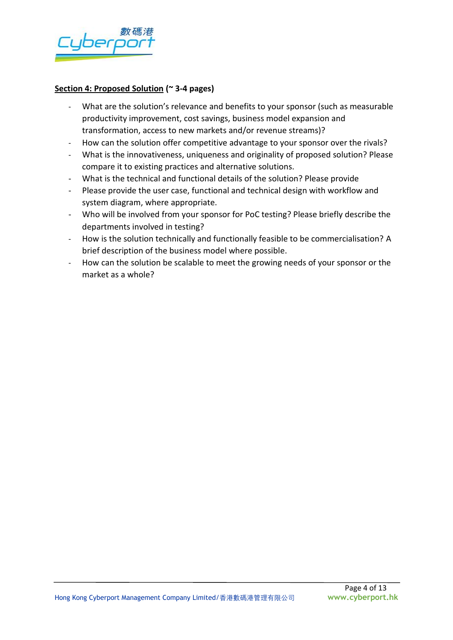

#### **Section 4: Proposed Solution (~ 3-4 pages)**

- What are the solution's relevance and benefits to your sponsor (such as measurable productivity improvement, cost savings, business model expansion and transformation, access to new markets and/or revenue streams)?
- How can the solution offer competitive advantage to your sponsor over the rivals?
- What is the innovativeness, uniqueness and originality of proposed solution? Please compare it to existing practices and alternative solutions.
- What is the technical and functional details of the solution? Please provide
- Please provide the user case, functional and technical design with workflow and system diagram, where appropriate.
- Who will be involved from your sponsor for PoC testing? Please briefly describe the departments involved in testing?
- How is the solution technically and functionally feasible to be commercialisation? A brief description of the business model where possible.
- How can the solution be scalable to meet the growing needs of your sponsor or the market as a whole?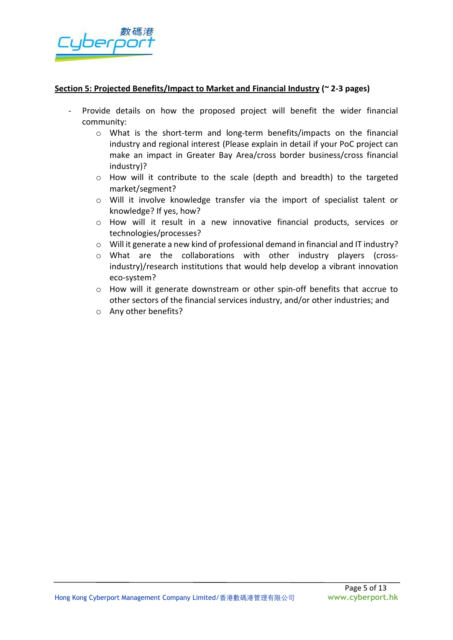

#### **Section 5: Projected Benefits/Impact to Market and Financial Industry (~ 2-3 pages)**

- Provide details on how the proposed project will benefit the wider financial community:
	- o What is the short-term and long-term benefits/impacts on the financial industry and regional interest (Please explain in detail if your PoC project can make an impact in Greater Bay Area/cross border business/cross financial industry)?
	- o How will it contribute to the scale (depth and breadth) to the targeted market/segment?
	- o Will it involve knowledge transfer via the import of specialist talent or knowledge? If yes, how?
	- o How will it result in a new innovative financial products, services or technologies/processes?
	- o Will it generate a new kind of professional demand in financial and IT industry?
	- o What are the collaborations with other industry players (crossindustry)/research institutions that would help develop a vibrant innovation eco-system?
	- o How will it generate downstream or other spin-off benefits that accrue to other sectors of the financial services industry, and/or other industries; and
	- o Any other benefits?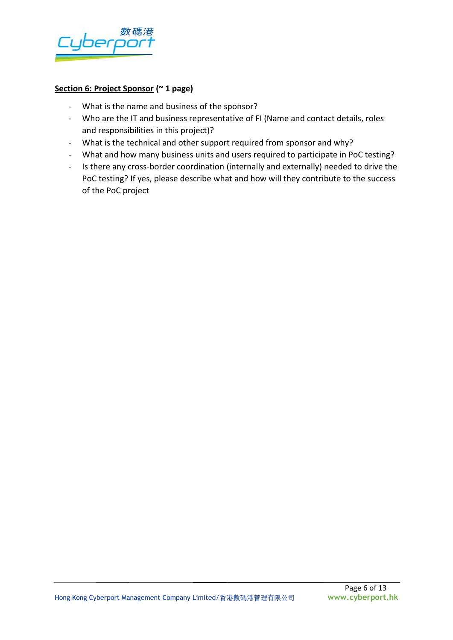

#### **Section 6: Project Sponsor (~ 1 page)**

- What is the name and business of the sponsor?
- Who are the IT and business representative of FI (Name and contact details, roles and responsibilities in this project)?
- What is the technical and other support required from sponsor and why?
- What and how many business units and users required to participate in PoC testing?
- Is there any cross-border coordination (internally and externally) needed to drive the PoC testing? If yes, please describe what and how will they contribute to the success of the PoC project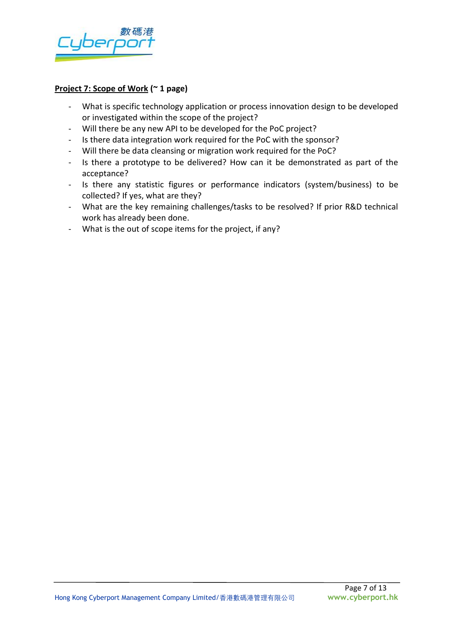

#### **Project 7: Scope of Work (~ 1 page)**

- What is specific technology application or process innovation design to be developed or investigated within the scope of the project?
- Will there be any new API to be developed for the PoC project?
- Is there data integration work required for the PoC with the sponsor?
- Will there be data cleansing or migration work required for the PoC?
- Is there a prototype to be delivered? How can it be demonstrated as part of the acceptance?
- Is there any statistic figures or performance indicators (system/business) to be collected? If yes, what are they?
- What are the key remaining challenges/tasks to be resolved? If prior R&D technical work has already been done.
- What is the out of scope items for the project, if any?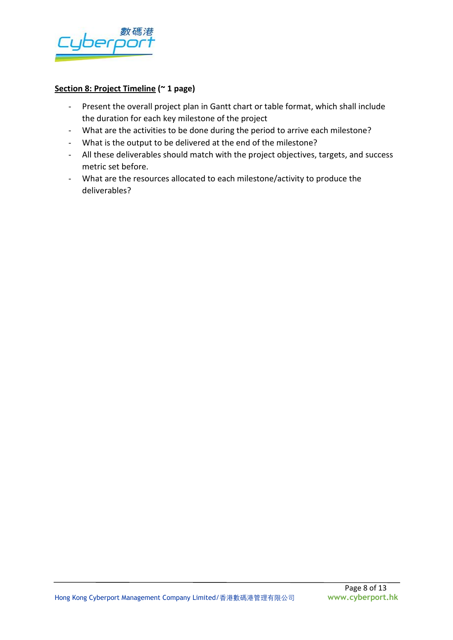

#### **Section 8: Project Timeline (~ 1 page)**

- Present the overall project plan in Gantt chart or table format, which shall include the duration for each key milestone of the project
- What are the activities to be done during the period to arrive each milestone?
- What is the output to be delivered at the end of the milestone?
- All these deliverables should match with the project objectives, targets, and success metric set before.
- What are the resources allocated to each milestone/activity to produce the deliverables?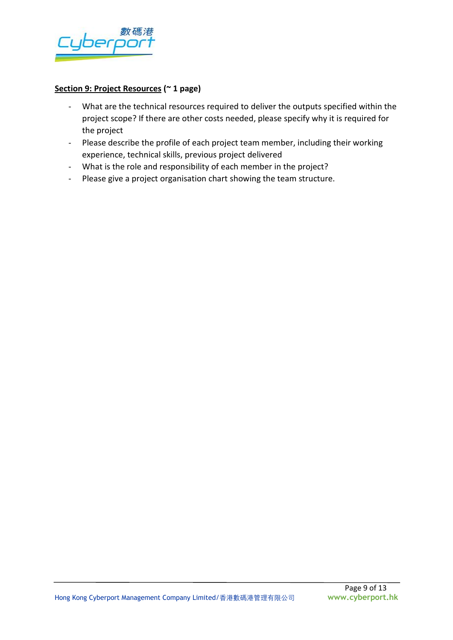

# **Section 9: Project Resources (~ 1 page)**

- What are the technical resources required to deliver the outputs specified within the project scope? If there are other costs needed, please specify why it is required for the project
- Please describe the profile of each project team member, including their working experience, technical skills, previous project delivered
- What is the role and responsibility of each member in the project?
- Please give a project organisation chart showing the team structure.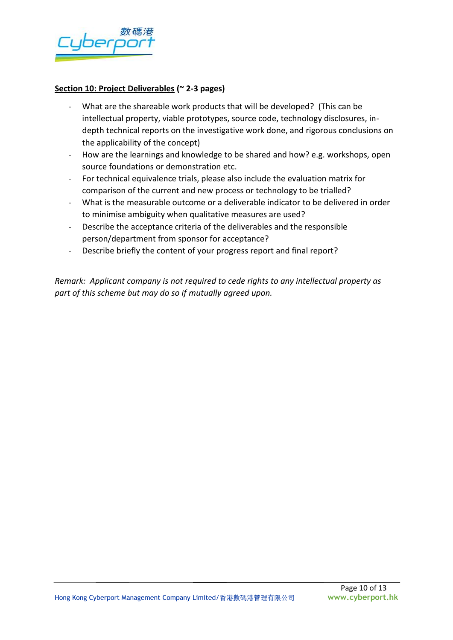

#### **Section 10: Project Deliverables (~ 2-3 pages)**

- What are the shareable work products that will be developed? (This can be intellectual property, viable prototypes, source code, technology disclosures, indepth technical reports on the investigative work done, and rigorous conclusions on the applicability of the concept)
- How are the learnings and knowledge to be shared and how? e.g. workshops, open source foundations or demonstration etc.
- For technical equivalence trials, please also include the evaluation matrix for comparison of the current and new process or technology to be trialled?
- What is the measurable outcome or a deliverable indicator to be delivered in order to minimise ambiguity when qualitative measures are used?
- Describe the acceptance criteria of the deliverables and the responsible person/department from sponsor for acceptance?
- Describe briefly the content of your progress report and final report?

*Remark: Applicant company is not required to cede rights to any intellectual property as part of this scheme but may do so if mutually agreed upon.*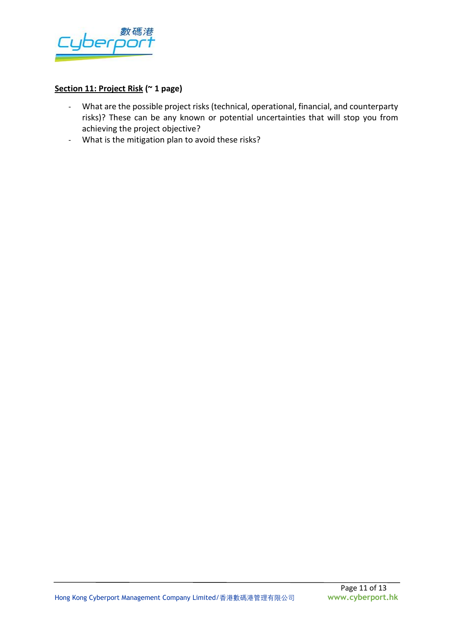

# **Section 11: Project Risk (~ 1 page)**

- What are the possible project risks (technical, operational, financial, and counterparty risks)? These can be any known or potential uncertainties that will stop you from achieving the project objective?
- What is the mitigation plan to avoid these risks?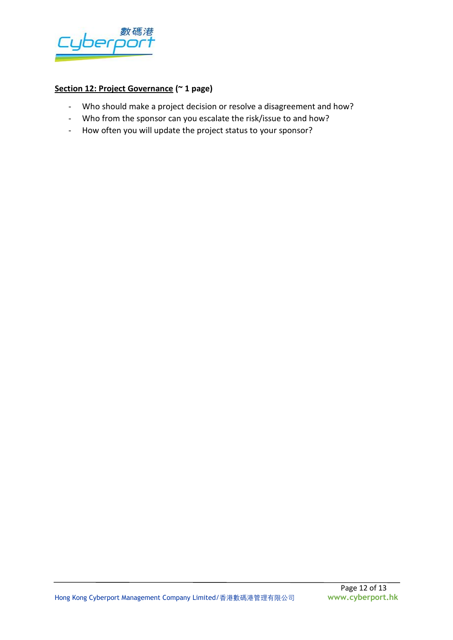

# **Section 12: Project Governance (~ 1 page)**

- Who should make a project decision or resolve a disagreement and how?
- Who from the sponsor can you escalate the risk/issue to and how?
- How often you will update the project status to your sponsor?